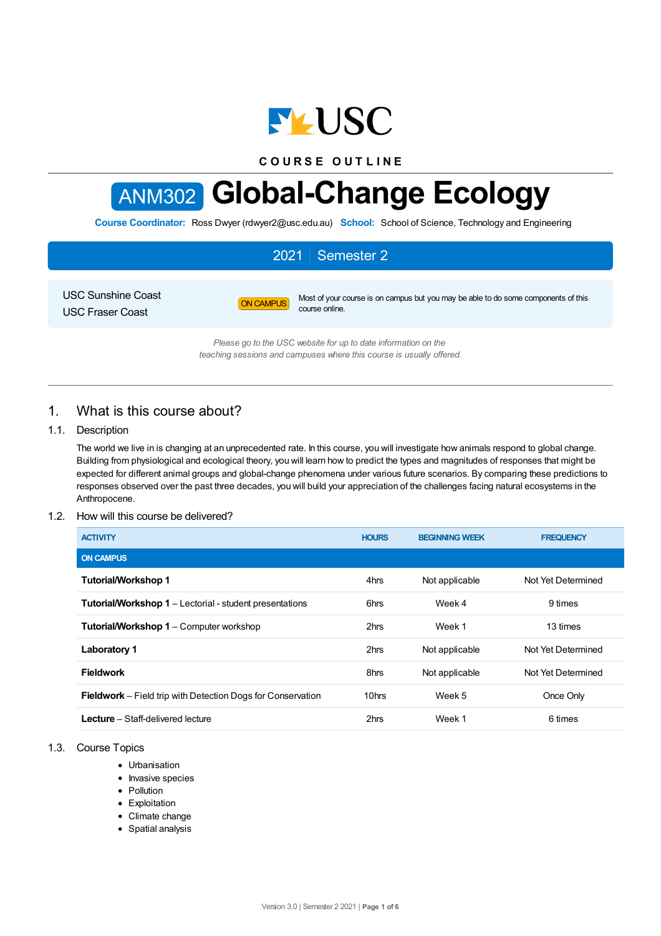

**C O U R S E O U T L I N E**

# ANM302 **Global-Change Ecology**

**Course Coordinator:** Ross Dwyer (rdwyer2@usc.edu.au) **School:** School of Science, Technology and Engineering

# 2021 Semester 2

USC Sunshine Coast USC Fraser Coast

ON CAMPUS Most of your course is on campus but you may be able to do some components of this course online.

*Please go to the USC website for up to date information on the teaching sessions and campuses where this course is usually offered.*

# 1. What is this course about?

## 1.1. Description

The world we live in is changing at an unprecedented rate. In this course, you will investigate how animals respond to global change. Building from physiological and ecological theory, you will learn how to predict the types and magnitudes of responses that might be expected for different animal groups and global-change phenomena under various future scenarios. By comparing these predictions to responses observed over the past three decades, you will build your appreciation of the challenges facing natural ecosystems in the Anthropocene.

## 1.2. How will this course be delivered?

| <b>ACTIVITY</b>                                                    | <b>HOURS</b> | <b>BEGINNING WEEK</b> | <b>FREQUENCY</b>   |
|--------------------------------------------------------------------|--------------|-----------------------|--------------------|
| <b>ON CAMPUS</b>                                                   |              |                       |                    |
| <b>Tutorial/Workshop 1</b>                                         | 4hrs         | Not applicable        | Not Yet Determined |
| <b>Tutorial/Workshop 1</b> – Lectorial - student presentations     | 6hrs         | Week 4                | 9 times            |
| <b>Tutorial/Workshop 1 – Computer workshop</b>                     | 2hrs         | Week 1                | 13 times           |
| <b>Laboratory 1</b>                                                | 2hrs         | Not applicable        | Not Yet Determined |
| <b>Fieldwork</b>                                                   | 8hrs         | Not applicable        | Not Yet Determined |
| <b>Fieldwork</b> – Field trip with Detection Dogs for Conservation | 10hrs        | Week 5                | Once Only          |
| <b>Lecture</b> – Staff-delivered lecture                           | 2hrs         | Week 1                | 6 times            |

## 1.3. Course Topics

- Urbanisation
- Invasive species
- Pollution
- Exploitation
- Climate change
- Spatial analysis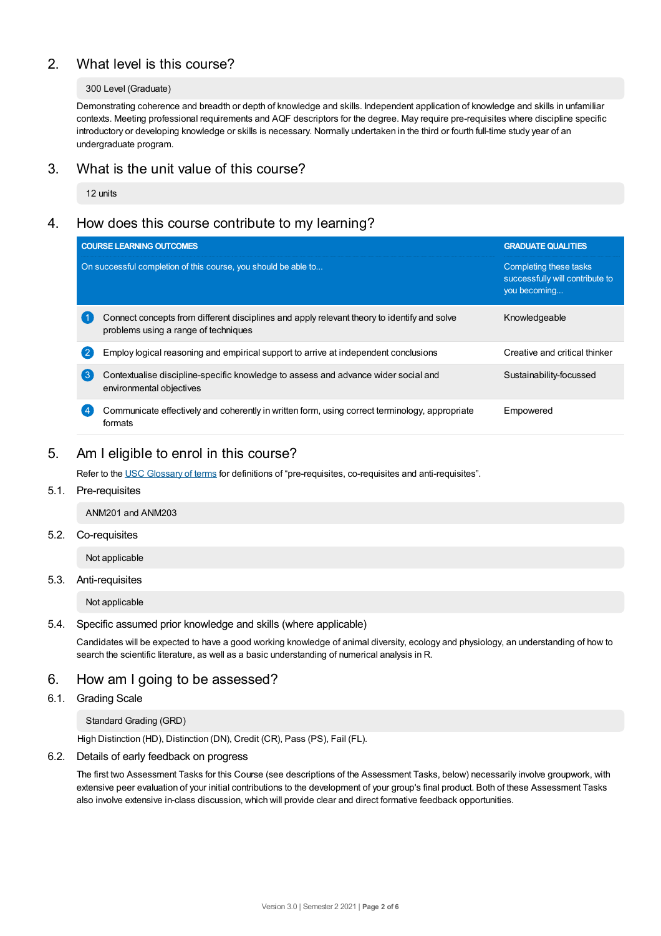# 2. What level is this course?

## 300 Level (Graduate)

Demonstrating coherence and breadth or depth of knowledge and skills. Independent application of knowledge and skills in unfamiliar contexts. Meeting professional requirements and AQF descriptors for the degree. May require pre-requisites where discipline specific introductory or developing knowledge or skills is necessary. Normally undertaken in the third or fourth full-time study year of an undergraduate program.

# 3. What is the unit value of this course?

12 units

# 4. How does this course contribute to my learning?

| <b>COURSE LEARNING OUTCOMES</b>                                                                                                     | <b>GRADUATE QUALITIES</b>                                                 |  |
|-------------------------------------------------------------------------------------------------------------------------------------|---------------------------------------------------------------------------|--|
| On successful completion of this course, you should be able to                                                                      | Completing these tasks<br>successfully will contribute to<br>you becoming |  |
| Connect concepts from different disciplines and apply relevant theory to identify and solve<br>problems using a range of techniques | Knowledgeable                                                             |  |
| Employ logical reasoning and empirical support to arrive at independent conclusions<br>2                                            | Creative and critical thinker                                             |  |
| 【3】<br>Contextualise discipline-specific knowledge to assess and advance wider social and<br>environmental objectives               | Sustainability-focussed                                                   |  |
| Communicate effectively and coherently in written form, using correct terminology, appropriate<br>formats                           | Empowered                                                                 |  |

## 5. Am Ieligible to enrol in this course?

Refer to the USC [Glossary](https://www.usc.edu.au/about/policies-and-procedures/glossary-of-terms-for-policy-and-procedures) of terms for definitions of "pre-requisites, co-requisites and anti-requisites".

## 5.1. Pre-requisites

ANM201 and ANM203

#### 5.2. Co-requisites

Not applicable

#### 5.3. Anti-requisites

Not applicable

## 5.4. Specific assumed prior knowledge and skills (where applicable)

Candidates will be expected to have a good working knowledge of animal diversity, ecology and physiology, an understanding of how to search the scientific literature, as well as a basic understanding of numerical analysis in R.

## 6. How am Igoing to be assessed?

## 6.1. Grading Scale

## Standard Grading (GRD)

High Distinction (HD), Distinction (DN), Credit (CR), Pass (PS), Fail (FL).

#### 6.2. Details of early feedback on progress

The first two Assessment Tasks for this Course (see descriptions of the Assessment Tasks, below) necessarily involve groupwork, with extensive peer evaluation of your initial contributions to the development of your group's final product. Both of these Assessment Tasks also involve extensive in-class discussion, which will provide clear and direct formative feedback opportunities.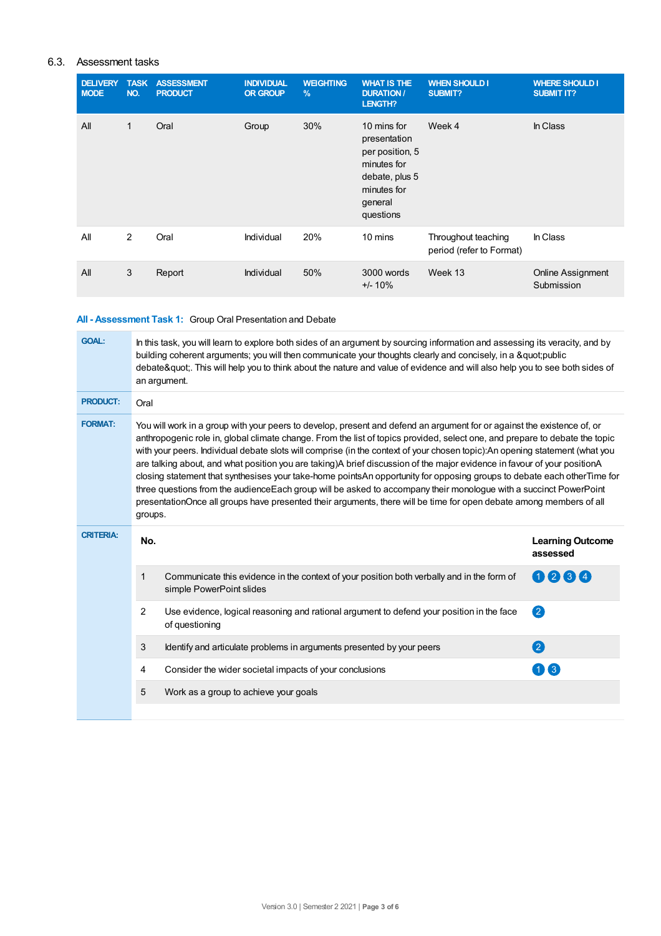## 6.3. Assessment tasks

| <b>DELIVERY</b><br><b>MODE</b> | <b>TASK</b><br>NO. | <b>ASSESSMENT</b><br><b>PRODUCT</b> | <b>INDIVIDUAL</b><br><b>OR GROUP</b> | <b>WEIGHTING</b><br>$\frac{9}{6}$ | <b>WHAT IS THE</b><br><b>DURATION /</b><br>LENGTH?                                                                     | <b>WHEN SHOULD I</b><br><b>SUBMIT?</b>          | <b>WHERE SHOULD I</b><br><b>SUBMIT IT?</b> |
|--------------------------------|--------------------|-------------------------------------|--------------------------------------|-----------------------------------|------------------------------------------------------------------------------------------------------------------------|-------------------------------------------------|--------------------------------------------|
| All                            | 1                  | Oral                                | Group                                | 30%                               | 10 mins for<br>presentation<br>per position, 5<br>minutes for<br>debate, plus 5<br>minutes for<br>general<br>questions | Week 4                                          | In Class                                   |
| All                            | 2                  | Oral                                | Individual                           | 20%                               | 10 mins                                                                                                                | Throughout teaching<br>period (refer to Format) | In Class                                   |
| All                            | 3                  | Report                              | Individual                           | 50%                               | 3000 words<br>$+/- 10\%$                                                                                               | Week 13                                         | <b>Online Assignment</b><br>Submission     |

## **All - Assessment Task 1:** Group Oral Presentation and Debate

| <b>GOAL:</b>     | In this task, you will learn to explore both sides of an argument by sourcing information and assessing its veracity, and by<br>building coherent arguments; you will then communicate your thoughts clearly and concisely, in a "public<br>debate". This will help you to think about the nature and value of evidence and will also help you to see both sides of<br>an argument.                                                                                                                                                                                                                                                                                                                                                                                                                                                                                                                 |                                                                                                                        |                                     |  |  |  |
|------------------|-----------------------------------------------------------------------------------------------------------------------------------------------------------------------------------------------------------------------------------------------------------------------------------------------------------------------------------------------------------------------------------------------------------------------------------------------------------------------------------------------------------------------------------------------------------------------------------------------------------------------------------------------------------------------------------------------------------------------------------------------------------------------------------------------------------------------------------------------------------------------------------------------------|------------------------------------------------------------------------------------------------------------------------|-------------------------------------|--|--|--|
| <b>PRODUCT:</b>  | Oral                                                                                                                                                                                                                                                                                                                                                                                                                                                                                                                                                                                                                                                                                                                                                                                                                                                                                                |                                                                                                                        |                                     |  |  |  |
| <b>FORMAT:</b>   | You will work in a group with your peers to develop, present and defend an argument for or against the existence of, or<br>anthropogenic role in, global climate change. From the list of topics provided, select one, and prepare to debate the topic<br>with your peers. Individual debate slots will comprise (in the context of your chosen topic):An opening statement (what you<br>are talking about, and what position you are taking)A brief discussion of the major evidence in favour of your positionA<br>closing statement that synthesises your take-home pointsAn opportunity for opposing groups to debate each otherTime for<br>three questions from the audienceEach group will be asked to accompany their monologue with a succinct PowerPoint<br>presentationOnce all groups have presented their arguments, there will be time for open debate among members of all<br>groups. |                                                                                                                        |                                     |  |  |  |
| <b>CRITERIA:</b> | No.                                                                                                                                                                                                                                                                                                                                                                                                                                                                                                                                                                                                                                                                                                                                                                                                                                                                                                 |                                                                                                                        | <b>Learning Outcome</b><br>assessed |  |  |  |
|                  | $\mathbf{1}$                                                                                                                                                                                                                                                                                                                                                                                                                                                                                                                                                                                                                                                                                                                                                                                                                                                                                        | Communicate this evidence in the context of your position both verbally and in the form of<br>simple PowerPoint slides | 0064                                |  |  |  |
|                  | $\overline{2}$                                                                                                                                                                                                                                                                                                                                                                                                                                                                                                                                                                                                                                                                                                                                                                                                                                                                                      | Use evidence, logical reasoning and rational argument to defend your position in the face<br>of questioning            | 2                                   |  |  |  |
|                  | 3                                                                                                                                                                                                                                                                                                                                                                                                                                                                                                                                                                                                                                                                                                                                                                                                                                                                                                   | Identify and articulate problems in arguments presented by your peers                                                  | 2                                   |  |  |  |
|                  | 4                                                                                                                                                                                                                                                                                                                                                                                                                                                                                                                                                                                                                                                                                                                                                                                                                                                                                                   | Consider the wider societal impacts of your conclusions                                                                | $\blacksquare$ 3                    |  |  |  |
|                  | 5                                                                                                                                                                                                                                                                                                                                                                                                                                                                                                                                                                                                                                                                                                                                                                                                                                                                                                   | Work as a group to achieve your goals                                                                                  |                                     |  |  |  |
|                  |                                                                                                                                                                                                                                                                                                                                                                                                                                                                                                                                                                                                                                                                                                                                                                                                                                                                                                     |                                                                                                                        |                                     |  |  |  |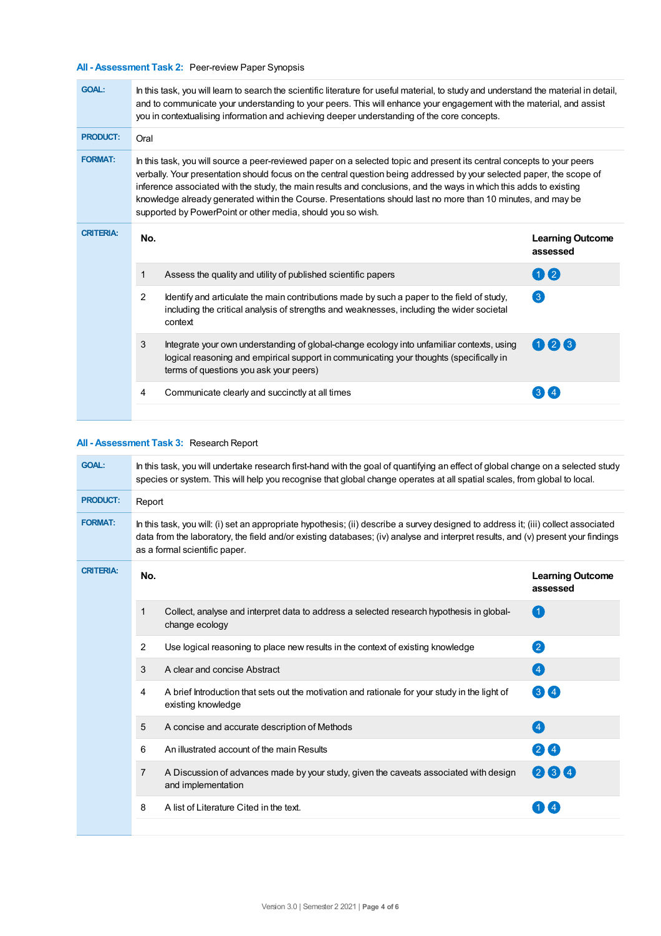## **All - Assessment Task 2:** Peer-review Paper Synopsis

| <b>GOAL:</b>     | In this task, you will learn to search the scientific literature for useful material, to study and understand the material in detail,<br>and to communicate your understanding to your peers. This will enhance your engagement with the material, and assist<br>you in contextualising information and achieving deeper understanding of the core concepts.                                                                                                                                                                                         |                                                                                                                                                                                                                                |                                     |  |  |
|------------------|------------------------------------------------------------------------------------------------------------------------------------------------------------------------------------------------------------------------------------------------------------------------------------------------------------------------------------------------------------------------------------------------------------------------------------------------------------------------------------------------------------------------------------------------------|--------------------------------------------------------------------------------------------------------------------------------------------------------------------------------------------------------------------------------|-------------------------------------|--|--|
| <b>PRODUCT:</b>  | Oral                                                                                                                                                                                                                                                                                                                                                                                                                                                                                                                                                 |                                                                                                                                                                                                                                |                                     |  |  |
| <b>FORMAT:</b>   | In this task, you will source a peer-reviewed paper on a selected topic and present its central concepts to your peers<br>verbally. Your presentation should focus on the central question being addressed by your selected paper, the scope of<br>inference associated with the study, the main results and conclusions, and the ways in which this adds to existing<br>knowledge already generated within the Course. Presentations should last no more than 10 minutes, and may be<br>supported by PowerPoint or other media, should you so wish. |                                                                                                                                                                                                                                |                                     |  |  |
| <b>CRITERIA:</b> | No.                                                                                                                                                                                                                                                                                                                                                                                                                                                                                                                                                  |                                                                                                                                                                                                                                | <b>Learning Outcome</b><br>assessed |  |  |
|                  | 1                                                                                                                                                                                                                                                                                                                                                                                                                                                                                                                                                    | Assess the quality and utility of published scientific papers                                                                                                                                                                  | 0 2                                 |  |  |
|                  | 2                                                                                                                                                                                                                                                                                                                                                                                                                                                                                                                                                    | Identify and articulate the main contributions made by such a paper to the field of study,<br>including the critical analysis of strengths and weaknesses, including the wider societal<br>context                             | $\left(3\right)$                    |  |  |
|                  | 3                                                                                                                                                                                                                                                                                                                                                                                                                                                                                                                                                    | Integrate your own understanding of global-change ecology into unfamiliar contexts, using<br>logical reasoning and empirical support in communicating your thoughts (specifically in<br>terms of questions you ask your peers) | 026                                 |  |  |
|                  | 4                                                                                                                                                                                                                                                                                                                                                                                                                                                                                                                                                    | Communicate clearly and succinctly at all times                                                                                                                                                                                |                                     |  |  |

## **All - Assessment Task 3:** Research Report

| <b>GOAL:</b>     | In this task, you will undertake research first-hand with the goal of quantifying an effect of global change on a selected study<br>species or system. This will help you recognise that global change operates at all spatial scales, from global to local.                                            |                                                                                                                      |                                     |  |
|------------------|---------------------------------------------------------------------------------------------------------------------------------------------------------------------------------------------------------------------------------------------------------------------------------------------------------|----------------------------------------------------------------------------------------------------------------------|-------------------------------------|--|
| <b>PRODUCT:</b>  | Report                                                                                                                                                                                                                                                                                                  |                                                                                                                      |                                     |  |
| <b>FORMAT:</b>   | In this task, you will: (i) set an appropriate hypothesis; (ii) describe a survey designed to address it; (iii) collect associated<br>data from the laboratory, the field and/or existing databases; (iv) analyse and interpret results, and (v) present your findings<br>as a formal scientific paper. |                                                                                                                      |                                     |  |
| <b>CRITERIA:</b> | No.                                                                                                                                                                                                                                                                                                     |                                                                                                                      | <b>Learning Outcome</b><br>assessed |  |
|                  | 1                                                                                                                                                                                                                                                                                                       | Collect, analyse and interpret data to address a selected research hypothesis in global-<br>change ecology           | Œ                                   |  |
|                  | 2                                                                                                                                                                                                                                                                                                       | Use logical reasoning to place new results in the context of existing knowledge                                      | 2                                   |  |
|                  | 3                                                                                                                                                                                                                                                                                                       | A clear and concise Abstract                                                                                         | $\left( 4\right)$                   |  |
|                  | 4                                                                                                                                                                                                                                                                                                       | A brief Introduction that sets out the motivation and rationale for your study in the light of<br>existing knowledge | $\mathbf{3} \mathbf{4}$             |  |
|                  | 5                                                                                                                                                                                                                                                                                                       | A concise and accurate description of Methods                                                                        | $\left( 4\right)$                   |  |
|                  | 6                                                                                                                                                                                                                                                                                                       | An illustrated account of the main Results                                                                           | (4)<br>$\mathbf{2}$                 |  |
|                  | 7                                                                                                                                                                                                                                                                                                       | A Discussion of advances made by your study, given the caveats associated with design<br>and implementation          | 2314                                |  |
|                  | 8                                                                                                                                                                                                                                                                                                       | A list of Literature Cited in the text.                                                                              |                                     |  |
|                  |                                                                                                                                                                                                                                                                                                         |                                                                                                                      |                                     |  |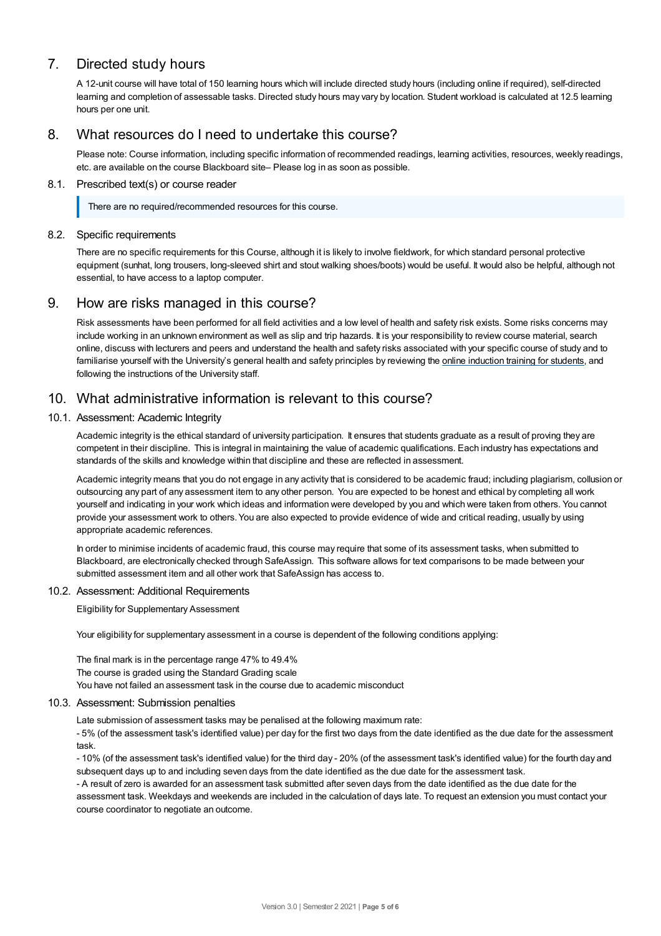# 7. Directed study hours

A 12-unit course will have total of 150 learning hours which will include directed study hours (including online if required), self-directed learning and completion of assessable tasks. Directed study hours may vary by location. Student workload is calculated at 12.5 learning hours per one unit.

## 8. What resources do I need to undertake this course?

Please note: Course information, including specific information of recommended readings, learning activities, resources, weekly readings, etc. are available on the course Blackboard site– Please log in as soon as possible.

## 8.1. Prescribed text(s) or course reader

There are no required/recommended resources for this course.

## 8.2. Specific requirements

There are no specific requirements for this Course, although it is likely to involve fieldwork, for which standard personal protective equipment (sunhat, long trousers, long-sleeved shirt and stout walking shoes/boots) would be useful. It would also be helpful, although not essential, to have access to a laptop computer.

## 9. How are risks managed in this course?

Risk assessments have been performed for all field activities and a low level of health and safety risk exists. Some risks concerns may include working in an unknown environment as well as slip and trip hazards. It is your responsibility to review course material, search online, discuss with lecturers and peers and understand the health and safety risks associated with your specific course of study and to familiarise yourself with the University's general health and safety principles by reviewing the online [induction](https://online.usc.edu.au/webapps/blackboard/content/listContentEditable.jsp?content_id=_632657_1&course_id=_14432_1) training for students, and following the instructions of the University staff.

## 10. What administrative information is relevant to this course?

## 10.1. Assessment: Academic Integrity

Academic integrity is the ethical standard of university participation. It ensures that students graduate as a result of proving they are competent in their discipline. This is integral in maintaining the value of academic qualifications. Each industry has expectations and standards of the skills and knowledge within that discipline and these are reflected in assessment.

Academic integrity means that you do not engage in any activity that is considered to be academic fraud; including plagiarism, collusion or outsourcing any part of any assessment item to any other person. You are expected to be honest and ethical by completing all work yourself and indicating in your work which ideas and information were developed by you and which were taken from others. You cannot provide your assessment work to others. You are also expected to provide evidence of wide and critical reading, usually by using appropriate academic references.

In order to minimise incidents of academic fraud, this course may require that some of its assessment tasks, when submitted to Blackboard, are electronically checked through SafeAssign. This software allows for text comparisons to be made between your submitted assessment item and all other work that SafeAssign has access to.

#### 10.2. Assessment: Additional Requirements

Eligibility for Supplementary Assessment

Your eligibility for supplementary assessment in a course is dependent of the following conditions applying:

The final mark is in the percentage range 47% to 49.4% The course is graded using the Standard Grading scale You have not failed an assessment task in the course due to academic misconduct

#### 10.3. Assessment: Submission penalties

Late submission of assessment tasks may be penalised at the following maximum rate:

- 5% (of the assessment task's identified value) per day for the first two days from the date identified as the due date for the assessment task.

- 10% (of the assessment task's identified value) for the third day - 20% (of the assessment task's identified value) for the fourth day and subsequent days up to and including seven days from the date identified as the due date for the assessment task.

- A result of zero is awarded for an assessment task submitted after seven days from the date identified as the due date for the assessment task. Weekdays and weekends are included in the calculation of days late. To request an extension you must contact your course coordinator to negotiate an outcome.